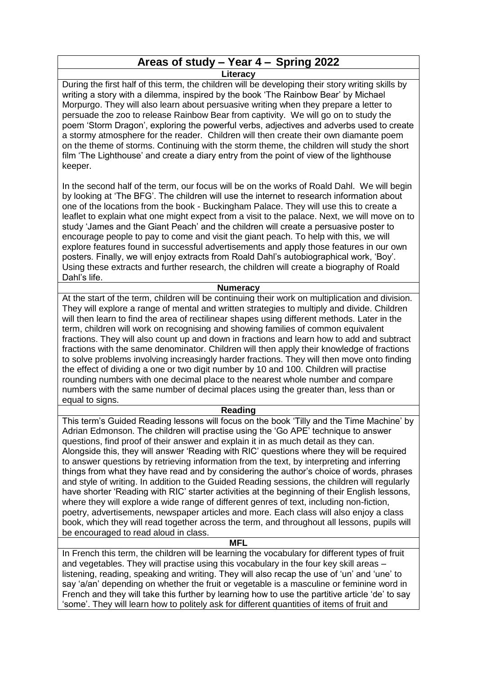# **Areas of study – Year 4 – Spring 2022**

**Literacy**

During the first half of this term, the children will be developing their story writing skills by writing a story with a dilemma, inspired by the book 'The Rainbow Bear' by Michael Morpurgo. They will also learn about persuasive writing when they prepare a letter to persuade the zoo to release Rainbow Bear from captivity. We will go on to study the poem 'Storm Dragon', exploring the powerful verbs, adjectives and adverbs used to create a stormy atmosphere for the reader. Children will then create their own diamante poem on the theme of storms. Continuing with the storm theme, the children will study the short film 'The Lighthouse' and create a diary entry from the point of view of the lighthouse keeper.

In the second half of the term, our focus will be on the works of Roald Dahl. We will begin by looking at 'The BFG'. The children will use the internet to research information about one of the locations from the book - Buckingham Palace. They will use this to create a leaflet to explain what one might expect from a visit to the palace. Next, we will move on to study 'James and the Giant Peach' and the children will create a persuasive poster to encourage people to pay to come and visit the giant peach. To help with this, we will explore features found in successful advertisements and apply those features in our own posters. Finally, we will enjoy extracts from Roald Dahl's autobiographical work, 'Boy'. Using these extracts and further research, the children will create a biography of Roald Dahl's life.

#### **Numeracy**

At the start of the term, children will be continuing their work on multiplication and division. They will explore a range of mental and written strategies to multiply and divide. Children will then learn to find the area of rectilinear shapes using different methods. Later in the term, children will work on recognising and showing families of common equivalent fractions. They will also count up and down in fractions and learn how to add and subtract fractions with the same denominator. Children will then apply their knowledge of fractions to solve problems involving increasingly harder fractions. They will then move onto finding the effect of dividing a one or two digit number by 10 and 100. Children will practise rounding numbers with one decimal place to the nearest whole number and compare numbers with the same number of decimal places using the greater than, less than or equal to signs.

## **Reading**

This term's Guided Reading lessons will focus on the book 'Tilly and the Time Machine' by Adrian Edmonson. The children will practise using the 'Go APE' technique to answer questions, find proof of their answer and explain it in as much detail as they can. Alongside this, they will answer 'Reading with RIC' questions where they will be required to answer questions by retrieving information from the text, by interpreting and inferring things from what they have read and by considering the author's choice of words, phrases and style of writing. In addition to the Guided Reading sessions, the children will regularly have shorter 'Reading with RIC' starter activities at the beginning of their English lessons, where they will explore a wide range of different genres of text, including non-fiction, poetry, advertisements, newspaper articles and more. Each class will also enjoy a class book, which they will read together across the term, and throughout all lessons, pupils will be encouraged to read aloud in class.

**MFL**

In French this term, the children will be learning the vocabulary for different types of fruit and vegetables. They will practise using this vocabulary in the four key skill areas – listening, reading, speaking and writing. They will also recap the use of 'un' and 'une' to say 'a/an' depending on whether the fruit or vegetable is a masculine or feminine word in French and they will take this further by learning how to use the partitive article 'de' to say 'some'. They will learn how to politely ask for different quantities of items of fruit and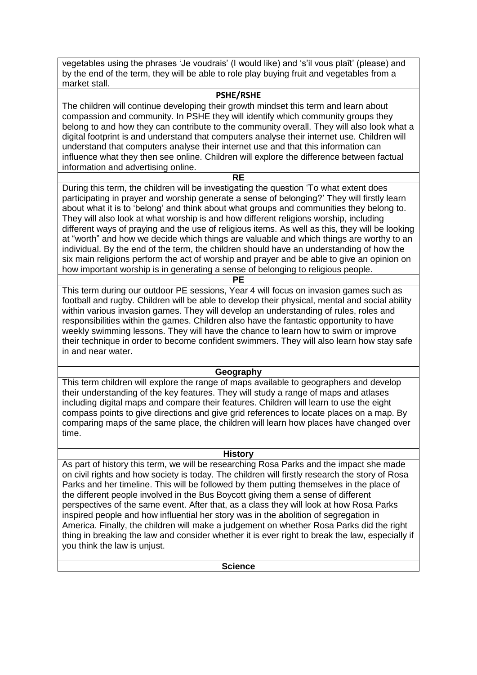vegetables using the phrases 'Je voudrais' (I would like) and 's'il vous plaît' (please) and by the end of the term, they will be able to role play buying fruit and vegetables from a market stall.

#### **PSHE/RSHE**

The children will continue developing their growth mindset this term and learn about compassion and community. In PSHE they will identify which community groups they belong to and how they can contribute to the community overall. They will also look what a digital footprint is and understand that computers analyse their internet use. Children will understand that computers analyse their internet use and that this information can influence what they then see online. Children will explore the difference between factual information and advertising online.

**RE**

During this term, the children will be investigating the question 'To what extent does participating in prayer and worship generate a sense of belonging?' They will firstly learn about what it is to 'belong' and think about what groups and communities they belong to. They will also look at what worship is and how different religions worship, including different ways of praying and the use of religious items. As well as this, they will be looking at "worth" and how we decide which things are valuable and which things are worthy to an individual. By the end of the term, the children should have an understanding of how the six main religions perform the act of worship and prayer and be able to give an opinion on how important worship is in generating a sense of belonging to religious people. **PE**

This term during our outdoor PE sessions, Year 4 will focus on invasion games such as football and rugby. Children will be able to develop their physical, mental and social ability within various invasion games. They will develop an understanding of rules, roles and responsibilities within the games. Children also have the fantastic opportunity to have weekly swimming lessons. They will have the chance to learn how to swim or improve their technique in order to become confident swimmers. They will also learn how stay safe in and near water.

#### **Geography**

This term children will explore the range of maps available to geographers and develop their understanding of the key features. They will study a range of maps and atlases including digital maps and compare their features. Children will learn to use the eight compass points to give directions and give grid references to locate places on a map. By comparing maps of the same place, the children will learn how places have changed over time.

#### **History**

As part of history this term, we will be researching Rosa Parks and the impact she made on civil rights and how society is today. The children will firstly research the story of Rosa Parks and her timeline. This will be followed by them putting themselves in the place of the different people involved in the Bus Boycott giving them a sense of different perspectives of the same event. After that, as a class they will look at how Rosa Parks inspired people and how influential her story was in the abolition of segregation in America. Finally, the children will make a judgement on whether Rosa Parks did the right thing in breaking the law and consider whether it is ever right to break the law, especially if you think the law is unjust.